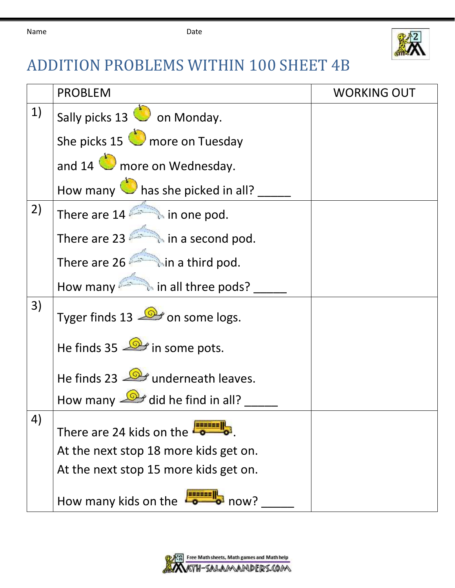

## ADDITION PROBLEMS WITHIN 100 SHEET 4B

|    | <b>PROBLEM</b>                                    | <b>WORKING OUT</b> |
|----|---------------------------------------------------|--------------------|
| 1) | Sally picks 13 on Monday.                         |                    |
|    | She picks 15 more on Tuesday                      |                    |
|    | and $14$ more on Wednesday.                       |                    |
|    | How many $\bigcirc$ has she picked in all?        |                    |
| 2) | There are $14$ $\rightarrow$ in one pod.          |                    |
|    | There are 23 $\qquad \qquad$ in a second pod.     |                    |
|    | There are 26 in a third pod.                      |                    |
|    | How many <b>in all three pods?</b>                |                    |
| 3) | Tyger finds 13 $\rightarrow$ on some logs.        |                    |
|    | He finds 35 <b>D</b> in some pots.                |                    |
|    | He finds 23 <b>D</b> underneath leaves.           |                    |
|    | How many $\frac{1}{\sqrt{2}}$ did he find in all? |                    |
| 4) | There are 24 kids on the $\ddot{\phantom{1}}$     |                    |
|    | At the next stop 18 more kids get on.             |                    |
|    | At the next stop 15 more kids get on.             |                    |
|    | How many kids on the<br>$\rightarrow$ now?        |                    |